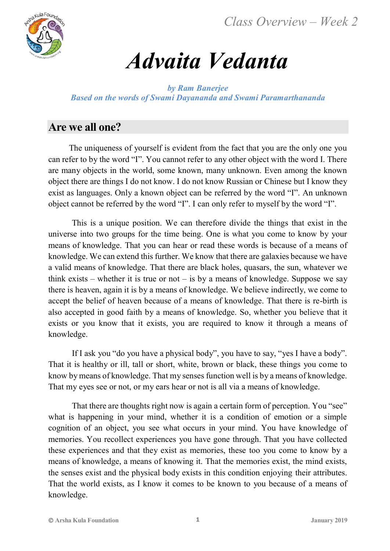*Class Overview – Week 2*



# *Advaita Vedanta*

*by Ram Banerjee Based on the words of Swami Dayananda and Swami Paramarthananda*

## **Are we all one?**

The uniqueness of yourself is evident from the fact that you are the only one you can refer to by the word "I". You cannot refer to any other object with the word I. There are many objects in the world, some known, many unknown. Even among the known object there are things I do not know. I do not know Russian or Chinese but I know they exist as languages. Only a known object can be referred by the word "I". An unknown object cannot be referred by the word "I". I can only refer to myself by the word "I".

This is a unique position. We can therefore divide the things that exist in the universe into two groups for the time being. One is what you come to know by your means of knowledge. That you can hear or read these words is because of a means of knowledge. We can extend this further. We know that there are galaxies because we have a valid means of knowledge. That there are black holes, quasars, the sun, whatever we think exists – whether it is true or not – is by a means of knowledge. Suppose we say there is heaven, again it is by a means of knowledge. We believe indirectly, we come to accept the belief of heaven because of a means of knowledge. That there is re-birth is also accepted in good faith by a means of knowledge. So, whether you believe that it exists or you know that it exists, you are required to know it through a means of knowledge.

If I ask you "do you have a physical body", you have to say, "yes I have a body". That it is healthy or ill, tall or short, white, brown or black, these things you come to know by means of knowledge. That my senses function well is by a means of knowledge. That my eyes see or not, or my ears hear or not is all via a means of knowledge.

That there are thoughts right now is again a certain form of perception. You "see" what is happening in your mind, whether it is a condition of emotion or a simple cognition of an object, you see what occurs in your mind. You have knowledge of memories. You recollect experiences you have gone through. That you have collected these experiences and that they exist as memories, these too you come to know by a means of knowledge, a means of knowing it. That the memories exist, the mind exists, the senses exist and the physical body exists in this condition enjoying their attributes. That the world exists, as I know it comes to be known to you because of a means of knowledge.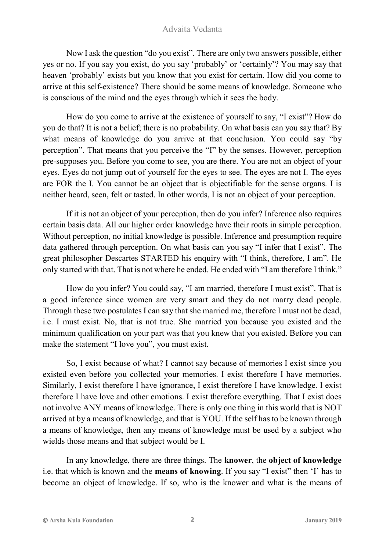Now I ask the question "do you exist". There are only two answers possible, either yes or no. If you say you exist, do you say 'probably' or 'certainly'? You may say that heaven 'probably' exists but you know that you exist for certain. How did you come to arrive at this self-existence? There should be some means of knowledge. Someone who is conscious of the mind and the eyes through which it sees the body.

How do you come to arrive at the existence of yourself to say, "I exist"? How do you do that? It is not a belief; there is no probability. On what basis can you say that? By what means of knowledge do you arrive at that conclusion. You could say "by perception". That means that you perceive the "I" by the senses. However, perception pre-supposes you. Before you come to see, you are there. You are not an object of your eyes. Eyes do not jump out of yourself for the eyes to see. The eyes are not I. The eyes are FOR the I. You cannot be an object that is objectifiable for the sense organs. I is neither heard, seen, felt or tasted. In other words, I is not an object of your perception.

If it is not an object of your perception, then do you infer? Inference also requires certain basis data. All our higher order knowledge have their roots in simple perception. Without perception, no initial knowledge is possible. Inference and presumption require data gathered through perception. On what basis can you say "I infer that I exist". The great philosopher Descartes STARTED his enquiry with "I think, therefore, I am". He only started with that. That is not where he ended. He ended with "I am therefore I think."

How do you infer? You could say, "I am married, therefore I must exist". That is a good inference since women are very smart and they do not marry dead people. Through these two postulates I can say that she married me, therefore I must not be dead, i.e. I must exist. No, that is not true. She married you because you existed and the minimum qualification on your part was that you knew that you existed. Before you can make the statement "I love you", you must exist.

So, I exist because of what? I cannot say because of memories I exist since you existed even before you collected your memories. I exist therefore I have memories. Similarly, I exist therefore I have ignorance, I exist therefore I have knowledge. I exist therefore I have love and other emotions. I exist therefore everything. That I exist does not involve ANY means of knowledge. There is only one thing in this world that is NOT arrived at by a means of knowledge, and that is YOU. If the self has to be known through a means of knowledge, then any means of knowledge must be used by a subject who wields those means and that subject would be I.

In any knowledge, there are three things. The **knower**, the **object of knowledge** i.e. that which is known and the **means of knowing**. If you say "I exist" then 'I' has to become an object of knowledge. If so, who is the knower and what is the means of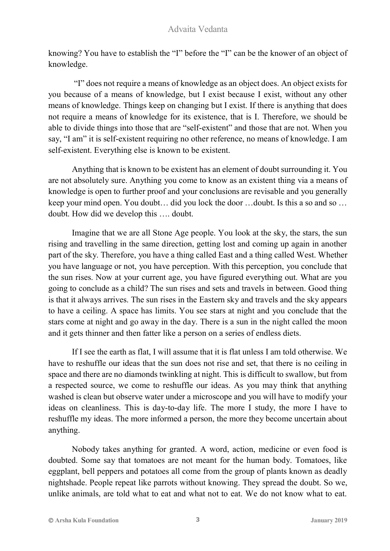knowing? You have to establish the "I" before the "I" can be the knower of an object of knowledge.

"I" does not require a means of knowledge as an object does. An object exists for you because of a means of knowledge, but I exist because I exist, without any other means of knowledge. Things keep on changing but I exist. If there is anything that does not require a means of knowledge for its existence, that is I. Therefore, we should be able to divide things into those that are "self-existent" and those that are not. When you say, "I am" it is self-existent requiring no other reference, no means of knowledge. I am self-existent. Everything else is known to be existent.

Anything that is known to be existent has an element of doubt surrounding it. You are not absolutely sure. Anything you come to know as an existent thing via a means of knowledge is open to further proof and your conclusions are revisable and you generally keep your mind open. You doubt… did you lock the door …doubt. Is this a so and so … doubt. How did we develop this …. doubt.

Imagine that we are all Stone Age people. You look at the sky, the stars, the sun rising and travelling in the same direction, getting lost and coming up again in another part of the sky. Therefore, you have a thing called East and a thing called West. Whether you have language or not, you have perception. With this perception, you conclude that the sun rises. Now at your current age, you have figured everything out. What are you going to conclude as a child? The sun rises and sets and travels in between. Good thing is that it always arrives. The sun rises in the Eastern sky and travels and the sky appears to have a ceiling. A space has limits. You see stars at night and you conclude that the stars come at night and go away in the day. There is a sun in the night called the moon and it gets thinner and then fatter like a person on a series of endless diets.

If I see the earth as flat, I will assume that it is flat unless I am told otherwise. We have to reshuffle our ideas that the sun does not rise and set, that there is no ceiling in space and there are no diamonds twinkling at night. This is difficult to swallow, but from a respected source, we come to reshuffle our ideas. As you may think that anything washed is clean but observe water under a microscope and you will have to modify your ideas on cleanliness. This is day-to-day life. The more I study, the more I have to reshuffle my ideas. The more informed a person, the more they become uncertain about anything.

Nobody takes anything for granted. A word, action, medicine or even food is doubted. Some say that tomatoes are not meant for the human body. Tomatoes, like eggplant, bell peppers and potatoes all come from the group of plants known as deadly nightshade. People repeat like parrots without knowing. They spread the doubt. So we, unlike animals, are told what to eat and what not to eat. We do not know what to eat.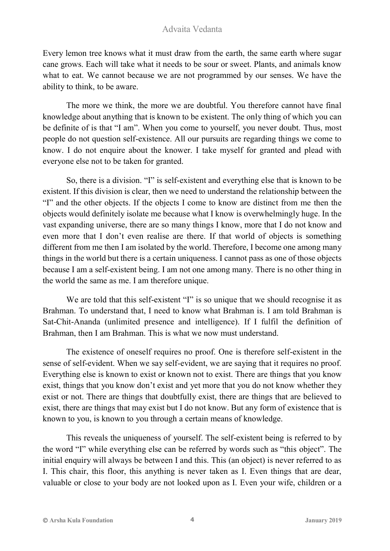Every lemon tree knows what it must draw from the earth, the same earth where sugar cane grows. Each will take what it needs to be sour or sweet. Plants, and animals know what to eat. We cannot because we are not programmed by our senses. We have the ability to think, to be aware.

The more we think, the more we are doubtful. You therefore cannot have final knowledge about anything that is known to be existent. The only thing of which you can be definite of is that "I am". When you come to yourself, you never doubt. Thus, most people do not question self-existence. All our pursuits are regarding things we come to know. I do not enquire about the knower. I take myself for granted and plead with everyone else not to be taken for granted.

So, there is a division. "I" is self-existent and everything else that is known to be existent. If this division is clear, then we need to understand the relationship between the "I" and the other objects. If the objects I come to know are distinct from me then the objects would definitely isolate me because what I know is overwhelmingly huge. In the vast expanding universe, there are so many things I know, more that I do not know and even more that I don't even realise are there. If that world of objects is something different from me then I am isolated by the world. Therefore, I become one among many things in the world but there is a certain uniqueness. I cannot pass as one of those objects because I am a self-existent being. I am not one among many. There is no other thing in the world the same as me. I am therefore unique.

We are told that this self-existent "I" is so unique that we should recognise it as Brahman. To understand that, I need to know what Brahman is. I am told Brahman is Sat-Chit-Ananda (unlimited presence and intelligence). If I fulfil the definition of Brahman, then I am Brahman. This is what we now must understand.

The existence of oneself requires no proof. One is therefore self-existent in the sense of self-evident. When we say self-evident, we are saying that it requires no proof. Everything else is known to exist or known not to exist. There are things that you know exist, things that you know don't exist and yet more that you do not know whether they exist or not. There are things that doubtfully exist, there are things that are believed to exist, there are things that may exist but I do not know. But any form of existence that is known to you, is known to you through a certain means of knowledge.

This reveals the uniqueness of yourself. The self-existent being is referred to by the word "I" while everything else can be referred by words such as "this object". The initial enquiry will always be between I and this. This (an object) is never referred to as I. This chair, this floor, this anything is never taken as I. Even things that are dear, valuable or close to your body are not looked upon as I. Even your wife, children or a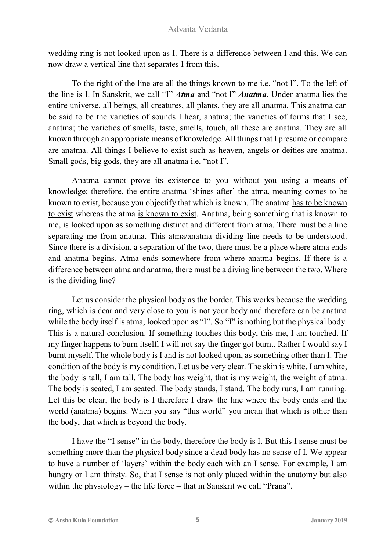wedding ring is not looked upon as I. There is a difference between I and this. We can now draw a vertical line that separates I from this.

To the right of the line are all the things known to me i.e. "not I". To the left of the line is I. In Sanskrit, we call "I" *Atma* and "not I" *Anatma*. Under anatma lies the entire universe, all beings, all creatures, all plants, they are all anatma. This anatma can be said to be the varieties of sounds I hear, anatma; the varieties of forms that I see, anatma; the varieties of smells, taste, smells, touch, all these are anatma. They are all known through an appropriate means of knowledge. All things that I presume or compare are anatma. All things I believe to exist such as heaven, angels or deities are anatma. Small gods, big gods, they are all anatma i.e. "not I".

Anatma cannot prove its existence to you without you using a means of knowledge; therefore, the entire anatma 'shines after' the atma, meaning comes to be known to exist, because you objectify that which is known. The anatma has to be known to exist whereas the atma is known to exist. Anatma, being something that is known to me, is looked upon as something distinct and different from atma. There must be a line separating me from anatma. This atma/anatma dividing line needs to be understood. Since there is a division, a separation of the two, there must be a place where atma ends and anatma begins. Atma ends somewhere from where anatma begins. If there is a difference between atma and anatma, there must be a diving line between the two. Where is the dividing line?

Let us consider the physical body as the border. This works because the wedding ring, which is dear and very close to you is not your body and therefore can be anatma while the body itself is atma, looked upon as "I". So "I" is nothing but the physical body. This is a natural conclusion. If something touches this body, this me, I am touched. If my finger happens to burn itself, I will not say the finger got burnt. Rather I would say I burnt myself. The whole body is I and is not looked upon, as something other than I. The condition of the body is my condition. Let us be very clear. The skin is white, I am white, the body is tall, I am tall. The body has weight, that is my weight, the weight of atma. The body is seated, I am seated. The body stands, I stand. The body runs, I am running. Let this be clear, the body is I therefore I draw the line where the body ends and the world (anatma) begins. When you say "this world" you mean that which is other than the body, that which is beyond the body.

I have the "I sense" in the body, therefore the body is I. But this I sense must be something more than the physical body since a dead body has no sense of I. We appear to have a number of 'layers' within the body each with an I sense. For example, I am hungry or I am thirsty. So, that I sense is not only placed within the anatomy but also within the physiology – the life force – that in Sanskrit we call "Prana".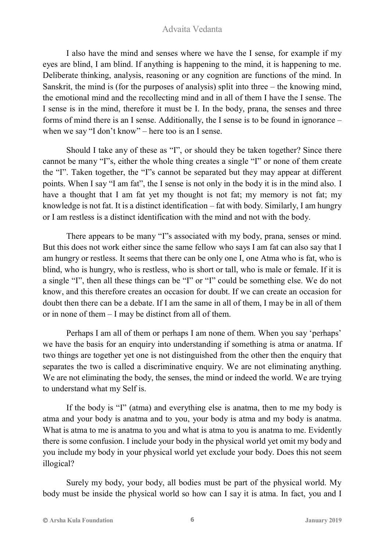I also have the mind and senses where we have the I sense, for example if my eyes are blind, I am blind. If anything is happening to the mind, it is happening to me. Deliberate thinking, analysis, reasoning or any cognition are functions of the mind. In Sanskrit, the mind is (for the purposes of analysis) split into three – the knowing mind, the emotional mind and the recollecting mind and in all of them I have the I sense. The I sense is in the mind, therefore it must be I. In the body, prana, the senses and three forms of mind there is an I sense. Additionally, the I sense is to be found in ignorance – when we say "I don't know" – here too is an I sense.

Should I take any of these as "I", or should they be taken together? Since there cannot be many "I"s, either the whole thing creates a single "I" or none of them create the "I". Taken together, the "I"s cannot be separated but they may appear at different points. When I say "I am fat", the I sense is not only in the body it is in the mind also. I have a thought that I am fat yet my thought is not fat; my memory is not fat; my knowledge is not fat. It is a distinct identification – fat with body. Similarly, I am hungry or I am restless is a distinct identification with the mind and not with the body.

There appears to be many "I"s associated with my body, prana, senses or mind. But this does not work either since the same fellow who says I am fat can also say that I am hungry or restless. It seems that there can be only one I, one Atma who is fat, who is blind, who is hungry, who is restless, who is short or tall, who is male or female. If it is a single "I", then all these things can be "I" or "I" could be something else. We do not know, and this therefore creates an occasion for doubt. If we can create an occasion for doubt then there can be a debate. If I am the same in all of them, I may be in all of them or in none of them – I may be distinct from all of them.

Perhaps I am all of them or perhaps I am none of them. When you say 'perhaps' we have the basis for an enquiry into understanding if something is atma or anatma. If two things are together yet one is not distinguished from the other then the enquiry that separates the two is called a discriminative enquiry. We are not eliminating anything. We are not eliminating the body, the senses, the mind or indeed the world. We are trying to understand what my Self is.

If the body is "I" (atma) and everything else is anatma, then to me my body is atma and your body is anatma and to you, your body is atma and my body is anatma. What is atma to me is anatma to you and what is atma to you is anatma to me. Evidently there is some confusion. I include your body in the physical world yet omit my body and you include my body in your physical world yet exclude your body. Does this not seem illogical?

Surely my body, your body, all bodies must be part of the physical world. My body must be inside the physical world so how can I say it is atma. In fact, you and I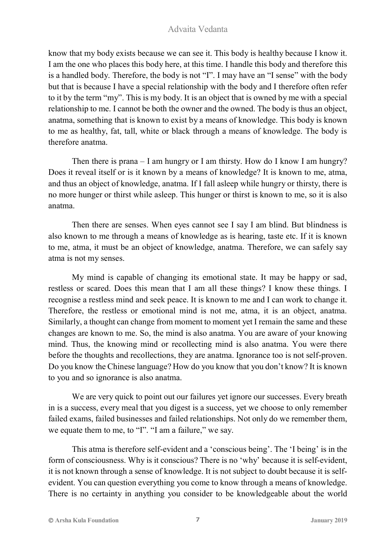know that my body exists because we can see it. This body is healthy because I know it. I am the one who places this body here, at this time. I handle this body and therefore this is a handled body. Therefore, the body is not "I". I may have an "I sense" with the body but that is because I have a special relationship with the body and I therefore often refer to it by the term "my". This is my body. It is an object that is owned by me with a special relationship to me. I cannot be both the owner and the owned. The body is thus an object, anatma, something that is known to exist by a means of knowledge. This body is known to me as healthy, fat, tall, white or black through a means of knowledge. The body is therefore anatma.

Then there is prana – I am hungry or I am thirsty. How do I know I am hungry? Does it reveal itself or is it known by a means of knowledge? It is known to me, atma, and thus an object of knowledge, anatma. If I fall asleep while hungry or thirsty, there is no more hunger or thirst while asleep. This hunger or thirst is known to me, so it is also anatma.

Then there are senses. When eyes cannot see I say I am blind. But blindness is also known to me through a means of knowledge as is hearing, taste etc. If it is known to me, atma, it must be an object of knowledge, anatma. Therefore, we can safely say atma is not my senses.

My mind is capable of changing its emotional state. It may be happy or sad, restless or scared. Does this mean that I am all these things? I know these things. I recognise a restless mind and seek peace. It is known to me and I can work to change it. Therefore, the restless or emotional mind is not me, atma, it is an object, anatma. Similarly, a thought can change from moment to moment yet I remain the same and these changes are known to me. So, the mind is also anatma. You are aware of your knowing mind. Thus, the knowing mind or recollecting mind is also anatma. You were there before the thoughts and recollections, they are anatma. Ignorance too is not self-proven. Do you know the Chinese language? How do you know that you don't know? It is known to you and so ignorance is also anatma.

We are very quick to point out our failures yet ignore our successes. Every breath in is a success, every meal that you digest is a success, yet we choose to only remember failed exams, failed businesses and failed relationships. Not only do we remember them, we equate them to me, to "I". "I am a failure," we say.

This atma is therefore self-evident and a 'conscious being'. The 'I being' is in the form of consciousness. Why is it conscious? There is no 'why' because it is self-evident, it is not known through a sense of knowledge. It is not subject to doubt because it is selfevident. You can question everything you come to know through a means of knowledge. There is no certainty in anything you consider to be knowledgeable about the world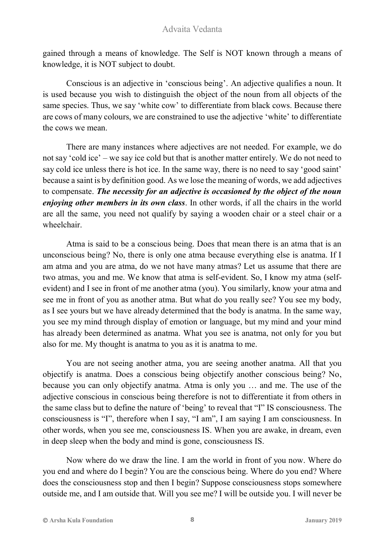gained through a means of knowledge. The Self is NOT known through a means of knowledge, it is NOT subject to doubt.

Conscious is an adjective in 'conscious being'. An adjective qualifies a noun. It is used because you wish to distinguish the object of the noun from all objects of the same species. Thus, we say 'white cow' to differentiate from black cows. Because there are cows of many colours, we are constrained to use the adjective 'white' to differentiate the cows we mean.

There are many instances where adjectives are not needed. For example, we do not say 'cold ice' – we say ice cold but that is another matter entirely. We do not need to say cold ice unless there is hot ice. In the same way, there is no need to say 'good saint' because a saint is by definition good. As we lose the meaning of words, we add adjectives to compensate. *The necessity for an adjective is occasioned by the object of the noun enjoying other members in its own class*. In other words, if all the chairs in the world are all the same, you need not qualify by saying a wooden chair or a steel chair or a wheelchair.

Atma is said to be a conscious being. Does that mean there is an atma that is an unconscious being? No, there is only one atma because everything else is anatma. If I am atma and you are atma, do we not have many atmas? Let us assume that there are two atmas, you and me. We know that atma is self-evident. So, I know my atma (selfevident) and I see in front of me another atma (you). You similarly, know your atma and see me in front of you as another atma. But what do you really see? You see my body, as I see yours but we have already determined that the body is anatma. In the same way, you see my mind through display of emotion or language, but my mind and your mind has already been determined as anatma. What you see is anatma, not only for you but also for me. My thought is anatma to you as it is anatma to me.

You are not seeing another atma, you are seeing another anatma. All that you objectify is anatma. Does a conscious being objectify another conscious being? No, because you can only objectify anatma. Atma is only you … and me. The use of the adjective conscious in conscious being therefore is not to differentiate it from others in the same class but to define the nature of 'being' to reveal that "I" IS consciousness. The consciousness is "I", therefore when I say, "I am", I am saying I am consciousness. In other words, when you see me, consciousness IS. When you are awake, in dream, even in deep sleep when the body and mind is gone, consciousness IS.

Now where do we draw the line. I am the world in front of you now. Where do you end and where do I begin? You are the conscious being. Where do you end? Where does the consciousness stop and then I begin? Suppose consciousness stops somewhere outside me, and I am outside that. Will you see me? I will be outside you. I will never be